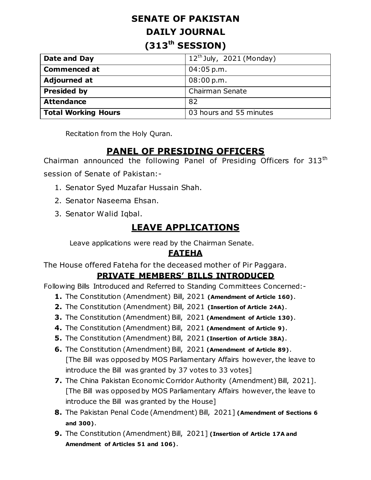# **SENATE OF PAKISTAN DAILY JOURNAL (313th SESSION)**

| Date and Day               | $12^{th}$ July, 2021 (Monday) |
|----------------------------|-------------------------------|
| <b>Commenced at</b>        | $04:05$ p.m.                  |
| <b>Adjourned at</b>        | 08:00 p.m.                    |
| <b>Presided by</b>         | Chairman Senate               |
| <b>Attendance</b>          | 82                            |
| <b>Total Working Hours</b> | 03 hours and 55 minutes       |

Recitation from the Holy Quran.

# **PANEL OF PRESIDING OFFICERS**

Chairman announced the following Panel of Presiding Officers for 313<sup>th</sup> session of Senate of Pakistan:-

- 1. Senator Syed Muzafar Hussain Shah.
- 2. Senator Naseema Ehsan.
- 3. Senator Walid Iqbal.

# **LEAVE APPLICATIONS**

Leave applications were read by the Chairman Senate.

### **FATEHA**

The House offered Fateha for the deceased mother of Pir Paggara.

# **PRIVATE MEMBERS' BILLS INTRODUCED**

Following Bills Introduced and Referred to Standing Committees Concerned:-

- **1.** The Constitution (Amendment) Bill, 2021 **(Amendment of Article 160)**.
- **2.** The Constitution (Amendment) Bill, 2021 **(Insertion of Article 24A)**.
- **3.** The Constitution (Amendment) Bill, 2021 **(Amendment of Article 130)**.
- **4.** The Constitution (Amendment) Bill, 2021 **(Amendment of Article 9)**.
- **5.** The Constitution (Amendment) Bill, 2021 **(Insertion of Article 38A)**.
- **6.** The Constitution (Amendment) Bill, 2021 **(Amendment of Article 89)**. [The Bill was opposed by MOS Parliamentary Affairs however, the leave to introduce the Bill was granted by 37 votes to 33 votes]
- **7.** The China Pakistan Economic Corridor Authority (Amendment) Bill, 2021]. [The Bill was opposed by MOS Parliamentary Affairs however, the leave to introduce the Bill was granted by the House]
- **8.** The Pakistan Penal Code (Amendment) Bill, 2021] **(Amendment of Sections 6 and 300)**.
- **9.** The Constitution (Amendment) Bill, 2021] **(Insertion of Article 17A and Amendment of Articles 51 and 106)**.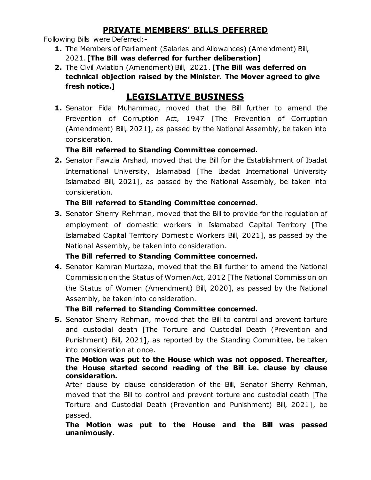### **PRIVATE MEMBERS' BILLS DEFERRED**

Following Bills were Deferred:-

- **1.** The Members of Parliament (Salaries and Allowances) (Amendment) Bill, 2021. [**The Bill was deferred for further deliberation]**
- **2.** The Civil Aviation (Amendment) Bill, 2021. **[The Bill was deferred on technical objection raised by the Minister. The Mover agreed to give fresh notice.]**

# **LEGISLATIVE BUSINESS**

**1.** Senator Fida Muhammad, moved that the Bill further to amend the Prevention of Corruption Act, 1947 [The Prevention of Corruption (Amendment) Bill, 2021], as passed by the National Assembly, be taken into consideration.

#### **The Bill referred to Standing Committee concerned.**

**2.** Senator Fawzia Arshad, moved that the Bill for the Establishment of Ibadat International University, Islamabad [The Ibadat International University Islamabad Bill, 2021], as passed by the National Assembly, be taken into consideration.

#### **The Bill referred to Standing Committee concerned.**

**3.** Senator Sherry Rehman, moved that the Bill to provide for the regulation of employment of domestic workers in Islamabad Capital Territory [The Islamabad Capital Territory Domestic Workers Bill, 2021], as passed by the National Assembly, be taken into consideration.

### **The Bill referred to Standing Committee concerned.**

**4.** Senator Kamran Murtaza, moved that the Bill further to amend the National Commission on the Status of Women Act, 2012 [The National Commission on the Status of Women (Amendment) Bill, 2020], as passed by the National Assembly, be taken into consideration.

#### **The Bill referred to Standing Committee concerned.**

**5.** Senator Sherry Rehman, moved that the Bill to control and prevent torture and custodial death [The Torture and Custodial Death (Prevention and Punishment) Bill, 2021], as reported by the Standing Committee, be taken into consideration at once.

#### **The Motion was put to the House which was not opposed. Thereafter, the House started second reading of the Bill i.e. clause by clause consideration.**

After clause by clause consideration of the Bill, Senator Sherry Rehman, moved that the Bill to control and prevent torture and custodial death [The Torture and Custodial Death (Prevention and Punishment) Bill, 2021], be passed.

#### **The Motion was put to the House and the Bill was passed unanimously.**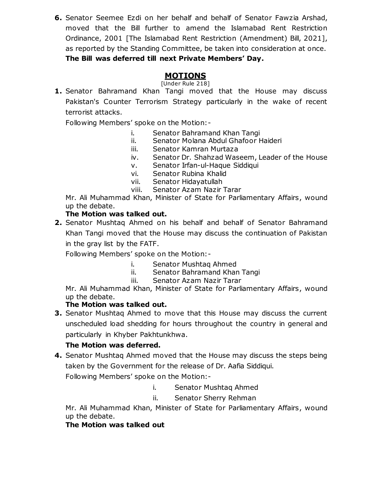**6.** Senator Seemee Ezdi on her behalf and behalf of Senator Fawzia Arshad, moved that the Bill further to amend the Islamabad Rent Restriction Ordinance, 2001 [The Islamabad Rent Restriction (Amendment) Bill, 2021], as reported by the Standing Committee, be taken into consideration at once. **The Bill was deferred till next Private Members' Day.**

### **MOTIONS**

[Under Rule 218]

**1.** Senator Bahramand Khan Tangi moved that the House may discuss Pakistan's Counter Terrorism Strategy particularly in the wake of recent terrorist attacks.

Following Members" spoke on the Motion:-

- i. Senator Bahramand Khan Tangi
- ii. Senator Molana Abdul Ghafoor Haideri
- iii. Senator Kamran Murtaza
- iv. Senator Dr. Shahzad Waseem, Leader of the House
- v. Senator Irfan-ul-Haque Siddiqui
- vi. Senator Rubina Khalid
- vii. Senator Hidayatullah
- viii. Senator Azam Nazir Tarar

Mr. Ali Muhammad Khan, Minister of State for Parliamentary Affairs, wound up the debate.

#### **The Motion was talked out.**

**2.** Senator Mushtaq Ahmed on his behalf and behalf of Senator Bahramand Khan Tangi moved that the House may discuss the continuation of Pakistan in the gray list by the FATF.

Following Members" spoke on the Motion:-

- i. Senator Mushtaq Ahmed
- ii. Senator Bahramand Khan Tangi
- iii. Senator Azam Nazir Tarar

Mr. Ali Muhammad Khan, Minister of State for Parliamentary Affairs, wound up the debate.

#### **The Motion was talked out.**

**3.** Senator Mushtaq Ahmed to move that this House may discuss the current unscheduled load shedding for hours throughout the country in general and particularly in Khyber Pakhtunkhwa.

#### **The Motion was deferred.**

**4.** Senator Mushtaq Ahmed moved that the House may discuss the steps being taken by the Government for the release of Dr. Aafia Siddiqui.

Following Members" spoke on the Motion:-

- i. Senator Mushtaq Ahmed
- ii. Senator Sherry Rehman

Mr. Ali Muhammad Khan, Minister of State for Parliamentary Affairs, wound up the debate.

#### **The Motion was talked out**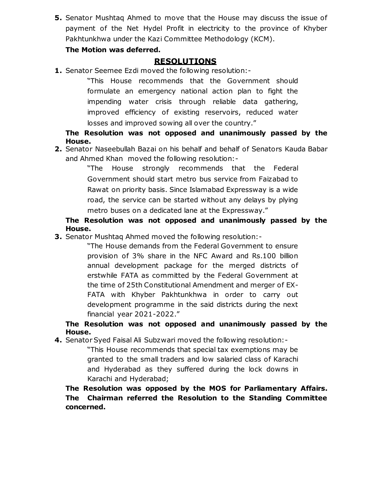**5.** Senator Mushtaq Ahmed to move that the House may discuss the issue of payment of the Net Hydel Profit in electricity to the province of Khyber Pakhtunkhwa under the Kazi Committee Methodology (KCM).

#### **The Motion was deferred.**

### **RESOLUTIONS**

**1.** Senator Seemee Ezdi moved the following resolution:-

"This House recommends that the Government should formulate an emergency national action plan to fight the impending water crisis through reliable data gathering, improved efficiency of existing reservoirs, reduced water losses and improved sowing all over the country."

**The Resolution was not opposed and unanimously passed by the House.**

**2.** Senator Naseebullah Bazai on his behalf and behalf of Senators Kauda Babar and Ahmed Khan moved the following resolution:-

> "The House strongly recommends that the Federal Government should start metro bus service from Faizabad to Rawat on priority basis. Since Islamabad Expressway is a wide road, the service can be started without any delays by plying metro buses on a dedicated lane at the Expressway."

#### **The Resolution was not opposed and unanimously passed by the House.**

**3.** Senator Mushtaq Ahmed moved the following resolution:-

"The House demands from the Federal Government to ensure provision of 3% share in the NFC Award and Rs.100 billion annual development package for the merged districts of erstwhile FATA as committed by the Federal Government at the time of 25th Constitutional Amendment and merger of EX-FATA with Khyber Pakhtunkhwa in order to carry out development programme in the said districts during the next financial year 2021-2022."

#### **The Resolution was not opposed and unanimously passed by the House.**

**4.** Senator Syed Faisal Ali Subzwari moved the following resolution:-

"This House recommends that special tax exemptions may be granted to the small traders and low salaried class of Karachi and Hyderabad as they suffered during the lock downs in Karachi and Hyderabad;

**The Resolution was opposed by the MOS for Parliamentary Affairs. The Chairman referred the Resolution to the Standing Committee concerned.**